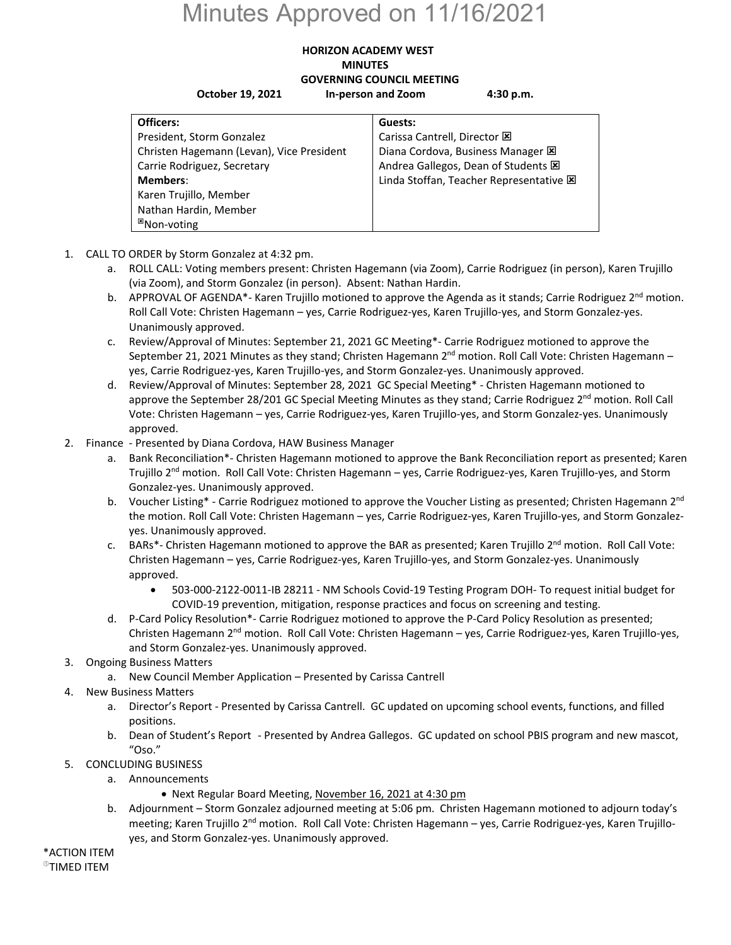## Minutes Approved on 11/16/2021

## **HORIZON ACADEMY WEST MINUTES GOVERNING COUNCIL MEETING October 19, 2021 In‐person and Zoom 4:30 p.m.**

| Officers:                                 | Guests:                                        |
|-------------------------------------------|------------------------------------------------|
| President, Storm Gonzalez                 | Carissa Cantrell, Director E                   |
| Christen Hagemann (Levan), Vice President | Diana Cordova, Business Manager X              |
| Carrie Rodriguez, Secretary               | Andrea Gallegos, Dean of Students E            |
| <b>Members:</b>                           | Linda Stoffan, Teacher Representative <b>E</b> |
| Karen Trujillo, Member                    |                                                |
| Nathan Hardin, Member                     |                                                |
| <sup>⊠</sup> Non-voting                   |                                                |

- 1. CALL TO ORDER by Storm Gonzalez at 4:32 pm.
	- a. ROLL CALL: Voting members present: Christen Hagemann (via Zoom), Carrie Rodriguez (in person), Karen Trujillo (via Zoom), and Storm Gonzalez (in person). Absent: Nathan Hardin.
	- b. APPROVAL OF AGENDA<sup>\*</sup>- Karen Trujillo motioned to approve the Agenda as it stands; Carrie Rodriguez 2<sup>nd</sup> motion. Roll Call Vote: Christen Hagemann – yes, Carrie Rodriguez‐yes, Karen Trujillo‐yes, and Storm Gonzalez‐yes. Unanimously approved.
	- c. Review/Approval of Minutes: September 21, 2021 GC Meeting\*‐ Carrie Rodriguez motioned to approve the September 21, 2021 Minutes as they stand; Christen Hagemann  $2^{nd}$  motion. Roll Call Vote: Christen Hagemann – yes, Carrie Rodriguez‐yes, Karen Trujillo‐yes, and Storm Gonzalez‐yes. Unanimously approved.
	- d. Review/Approval of Minutes: September 28, 2021 GC Special Meeting\* ‐ Christen Hagemann motioned to approve the September 28/201 GC Special Meeting Minutes as they stand; Carrie Rodriguez 2<sup>nd</sup> motion. Roll Call Vote: Christen Hagemann – yes, Carrie Rodriguez‐yes, Karen Trujillo‐yes, and Storm Gonzalez‐yes. Unanimously approved.
- 2. Finance Presented by Diana Cordova, HAW Business Manager
	- a. Bank Reconciliation\*‐ Christen Hagemann motioned to approve the Bank Reconciliation report as presented; Karen Trujillo 2<sup>nd</sup> motion. Roll Call Vote: Christen Hagemann – yes, Carrie Rodriguez-yes, Karen Trujillo-yes, and Storm Gonzalez‐yes. Unanimously approved.
	- b. Voucher Listing\* Carrie Rodriguez motioned to approve the Voucher Listing as presented; Christen Hagemann 2<sup>nd</sup> the motion. Roll Call Vote: Christen Hagemann – yes, Carrie Rodriguez‐yes, Karen Trujillo‐yes, and Storm Gonzalez‐ yes. Unanimously approved.
	- c. BARs\*- Christen Hagemann motioned to approve the BAR as presented; Karen Trujillo 2<sup>nd</sup> motion. Roll Call Vote: Christen Hagemann – yes, Carrie Rodriguez‐yes, Karen Trujillo‐yes, and Storm Gonzalez‐yes. Unanimously approved.
		- 503‐000‐2122‐0011‐IB 28211 ‐ NM Schools Covid‐19 Testing Program DOH‐ To request initial budget for COVID‐19 prevention, mitigation, response practices and focus on screening and testing.
	- d. P‐Card Policy Resolution\*‐ Carrie Rodriguez motioned to approve the P‐Card Policy Resolution as presented; Christen Hagemann 2<sup>nd</sup> motion. Roll Call Vote: Christen Hagemann – yes, Carrie Rodriguez-yes, Karen Trujillo-yes, and Storm Gonzalez‐yes. Unanimously approved.
- 3. Ongoing Business Matters
	- a. New Council Member Application Presented by Carissa Cantrell
- 4. New Business Matters
	- a. Director's Report ‐ Presented by Carissa Cantrell. GC updated on upcoming school events, functions, and filled positions.
	- b. Dean of Student's Report ‐ Presented by Andrea Gallegos. GC updated on school PBIS program and new mascot, "Oso."
- 5. CONCLUDING BUSINESS
	- a. Announcements
		- Next Regular Board Meeting, November 16, 2021 at 4:30 pm
	- b. Adjournment Storm Gonzalez adjourned meeting at 5:06 pm. Christen Hagemann motioned to adjourn today's meeting; Karen Trujillo 2<sup>nd</sup> motion. Roll Call Vote: Christen Hagemann – yes, Carrie Rodriguez-yes, Karen Trujilloyes, and Storm Gonzalez‐yes. Unanimously approved.

\*ACTION ITEM **<sup>®</sup>TIMED ITEM**